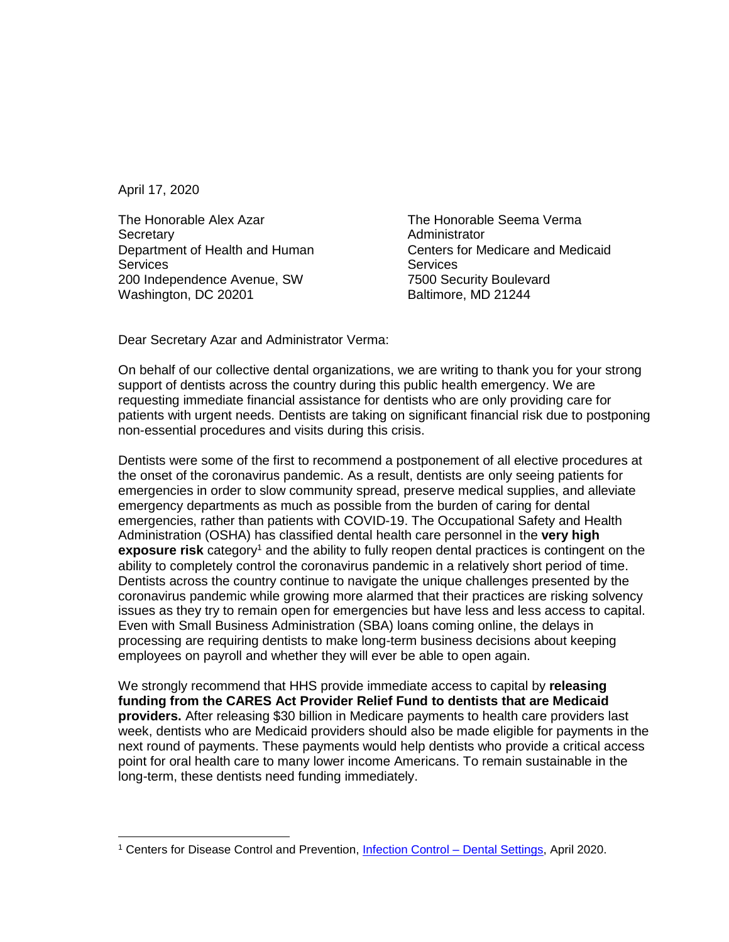April 17, 2020

The Honorable Alex Azar **Secretary** Department of Health and Human **Services** 200 Independence Avenue, SW Washington, DC 20201

The Honorable Seema Verma **Administrator** Centers for Medicare and Medicaid **Services** 7500 Security Boulevard Baltimore, MD 21244

Dear Secretary Azar and Administrator Verma:

On behalf of our collective dental organizations, we are writing to thank you for your strong support of dentists across the country during this public health emergency. We are requesting immediate financial assistance for dentists who are only providing care for patients with urgent needs. Dentists are taking on significant financial risk due to postponing non-essential procedures and visits during this crisis.

Dentists were some of the first to recommend a postponement of all elective procedures at the onset of the coronavirus pandemic. As a result, dentists are only seeing patients for emergencies in order to slow community spread, preserve medical supplies, and alleviate emergency departments as much as possible from the burden of caring for dental emergencies, rather than patients with COVID-19. The Occupational Safety and Health Administration (OSHA) has classified dental health care personnel in the **very high exposure risk** category<sup>1</sup> and the ability to fully reopen dental practices is contingent on the ability to completely control the coronavirus pandemic in a relatively short period of time. Dentists across the country continue to navigate the unique challenges presented by the coronavirus pandemic while growing more alarmed that their practices are risking solvency issues as they try to remain open for emergencies but have less and less access to capital. Even with Small Business Administration (SBA) loans coming online, the delays in processing are requiring dentists to make long-term business decisions about keeping employees on payroll and whether they will ever be able to open again.

We strongly recommend that HHS provide immediate access to capital by **releasing funding from the CARES Act Provider Relief Fund to dentists that are Medicaid providers.** After releasing \$30 billion in Medicare payments to health care providers last week, dentists who are Medicaid providers should also be made eligible for payments in the next round of payments. These payments would help dentists who provide a critical access point for oral health care to many lower income Americans. To remain sustainable in the long-term, these dentists need funding immediately.

<sup>&</sup>lt;sup>1</sup> Centers for Disease Control and Prevention, [Infection Control –](https://www.cdc.gov/coronavirus/2019-ncov/hcp/dental-settings.html) Dental Settings, April 2020.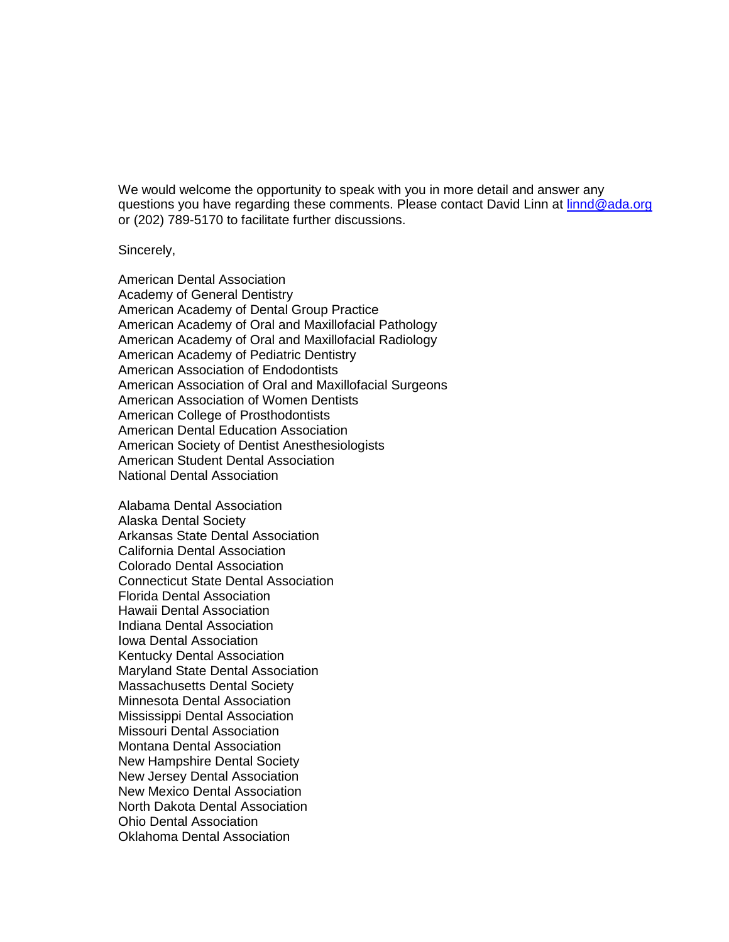We would welcome the opportunity to speak with you in more detail and answer any questions you have regarding these comments. Please contact David Linn at [linnd@ada.org](mailto:linnd@ada.org) or (202) 789-5170 to facilitate further discussions.

Sincerely,

American Dental Association Academy of General Dentistry American Academy of Dental Group Practice American Academy of Oral and Maxillofacial Pathology American Academy of Oral and Maxillofacial Radiology American Academy of Pediatric Dentistry American Association of Endodontists American Association of Oral and Maxillofacial Surgeons American Association of Women Dentists American College of Prosthodontists American Dental Education Association American Society of Dentist Anesthesiologists American Student Dental Association National Dental Association

Alabama Dental Association Alaska Dental Society Arkansas State Dental Association California Dental Association Colorado Dental Association Connecticut State Dental Association Florida Dental Association Hawaii Dental Association Indiana Dental Association Iowa Dental Association Kentucky Dental Association Maryland State Dental Association Massachusetts Dental Society Minnesota Dental Association Mississippi Dental Association Missouri Dental Association Montana Dental Association New Hampshire Dental Society New Jersey Dental Association New Mexico Dental Association North Dakota Dental Association Ohio Dental Association Oklahoma Dental Association